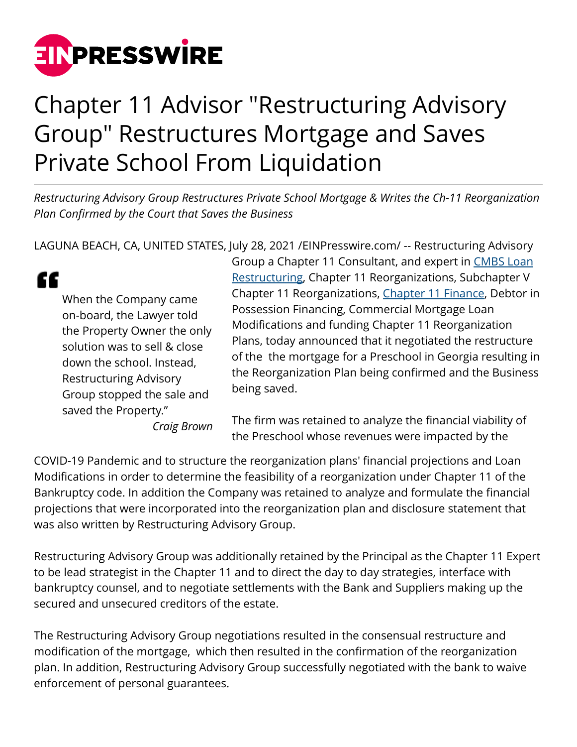

## Chapter 11 Advisor "Restructuring Advisory Group" Restructures Mortgage and Saves Private School From Liquidation

*Restructuring Advisory Group Restructures Private School Mortgage & Writes the Ch-11 Reorganization Plan Confirmed by the Court that Saves the Business*

LAGUNA BEACH, CA, UNITED STATES, July 28, 2021 /[EINPresswire.com](http://www.einpresswire.com)/ -- Restructuring Advisory

" When the Company came on-board, the Lawyer told the Property Owner the only solution was to sell & close down the school. Instead, Restructuring Advisory Group stopped the sale and saved the Property."

*Craig Brown*

Group a Chapter 11 Consultant, and expert in [CMBS Loan](http://restructuringexperts.com/cmbs-loan-restructures/) [Restructuring,](http://restructuringexperts.com/cmbs-loan-restructures/) Chapter 11 Reorganizations, Subchapter V Chapter 11 Reorganizations, [Chapter 11 Finance](https://restructuringexperts.com/refinancings/), Debtor in Possession Financing, Commercial Mortgage Loan Modifications and funding Chapter 11 Reorganization Plans, today announced that it negotiated the restructure of the the mortgage for a Preschool in Georgia resulting in the Reorganization Plan being confirmed and the Business being saved.

The firm was retained to analyze the financial viability of the Preschool whose revenues were impacted by the

COVID-19 Pandemic and to structure the reorganization plans' financial projections and Loan Modifications in order to determine the feasibility of a reorganization under Chapter 11 of the Bankruptcy code. In addition the Company was retained to analyze and formulate the financial projections that were incorporated into the reorganization plan and disclosure statement that was also written by Restructuring Advisory Group.

Restructuring Advisory Group was additionally retained by the Principal as the Chapter 11 Expert to be lead strategist in the Chapter 11 and to direct the day to day strategies, interface with bankruptcy counsel, and to negotiate settlements with the Bank and Suppliers making up the secured and unsecured creditors of the estate.

The Restructuring Advisory Group negotiations resulted in the consensual restructure and modification of the mortgage, which then resulted in the confirmation of the reorganization plan. In addition, Restructuring Advisory Group successfully negotiated with the bank to waive enforcement of personal guarantees.